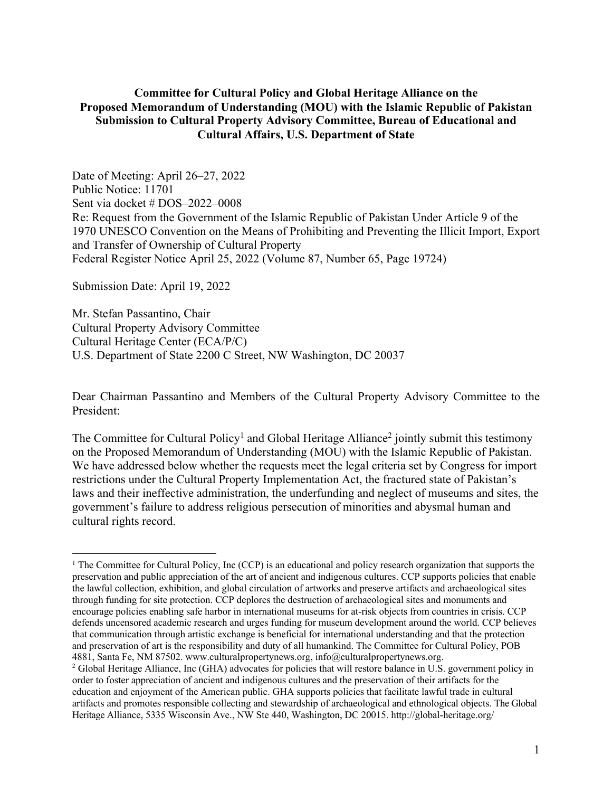### **Committee for Cultural Policy and Global Heritage Alliance on the Proposed Memorandum of Understanding (MOU) with the Islamic Republic of Pakistan Submission to Cultural Property Advisory Committee, Bureau of Educational and Cultural Affairs, U.S. Department of State**

Date of Meeting: April 26–27, 2022 Public Notice: 11701 Sent via docket # DOS–2022–0008 Re: Request from the Government of the Islamic Republic of Pakistan Under Article 9 of the 1970 UNESCO Convention on the Means of Prohibiting and Preventing the Illicit Import, Export and Transfer of Ownership of Cultural Property Federal Register Notice April 25, 2022 (Volume 87, Number 65, Page 19724)

Submission Date: April 19, 2022

Mr. Stefan Passantino, Chair Cultural Property Advisory Committee Cultural Heritage Center (ECA/P/C) U.S. Department of State 2200 C Street, NW Washington, DC 20037

Dear Chairman Passantino and Members of the Cultural Property Advisory Committee to the President:

The Committee for Cultural Policy<sup>1</sup> and Global Heritage Alliance<sup>2</sup> jointly submit this testimony on the Proposed Memorandum of Understanding (MOU) with the Islamic Republic of Pakistan. We have addressed below whether the requests meet the legal criteria set by Congress for import restrictions under the Cultural Property Implementation Act, the fractured state of Pakistan's laws and their ineffective administration, the underfunding and neglect of museums and sites, the government's failure to address religious persecution of minorities and abysmal human and cultural rights record.

<sup>&</sup>lt;sup>1</sup> The Committee for Cultural Policy, Inc (CCP) is an educational and policy research organization that supports the preservation and public appreciation of the art of ancient and indigenous cultures. CCP supports policies that enable the lawful collection, exhibition, and global circulation of artworks and preserve artifacts and archaeological sites through funding for site protection. CCP deplores the destruction of archaeological sites and monuments and encourage policies enabling safe harbor in international museums for at-risk objects from countries in crisis. CCP defends uncensored academic research and urges funding for museum development around the world. CCP believes that communication through artistic exchange is beneficial for international understanding and that the protection and preservation of art is the responsibility and duty of all humankind. The Committee for Cultural Policy, POB 4881, Santa Fe, NM 87502. www.culturalpropertynews.org, info@culturalpropertynews.org.

<sup>&</sup>lt;sup>2</sup> Global Heritage Alliance, Inc (GHA) advocates for policies that will restore balance in U.S. government policy in order to foster appreciation of ancient and indigenous cultures and the preservation of their artifacts for the education and enjoyment of the American public. GHA supports policies that facilitate lawful trade in cultural artifacts and promotes responsible collecting and stewardship of archaeological and ethnological objects. The Global Heritage Alliance, 5335 Wisconsin Ave., NW Ste 440, Washington, DC 20015. http://global-heritage.org/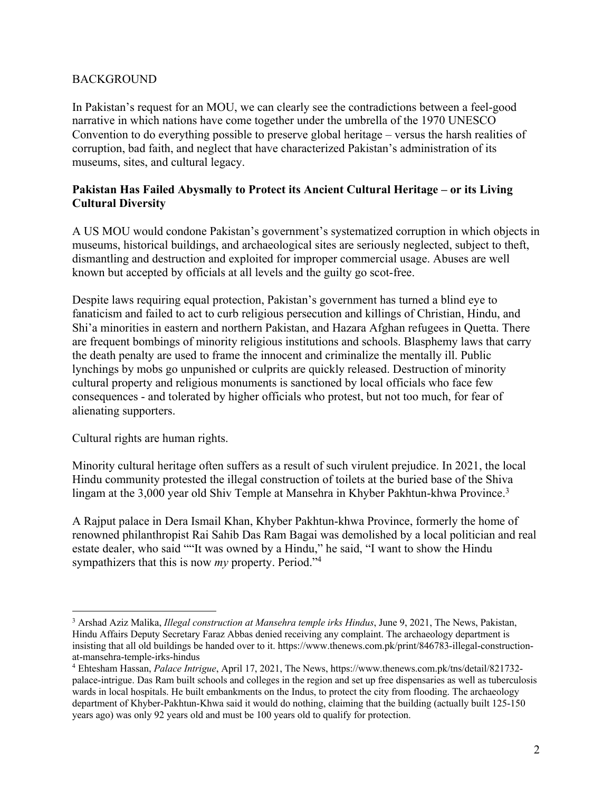## **BACKGROUND**

In Pakistan's request for an MOU, we can clearly see the contradictions between a feel-good narrative in which nations have come together under the umbrella of the 1970 UNESCO Convention to do everything possible to preserve global heritage – versus the harsh realities of corruption, bad faith, and neglect that have characterized Pakistan's administration of its museums, sites, and cultural legacy.

### **Pakistan Has Failed Abysmally to Protect its Ancient Cultural Heritage – or its Living Cultural Diversity**

A US MOU would condone Pakistan's government's systematized corruption in which objects in museums, historical buildings, and archaeological sites are seriously neglected, subject to theft, dismantling and destruction and exploited for improper commercial usage. Abuses are well known but accepted by officials at all levels and the guilty go scot-free.

Despite laws requiring equal protection, Pakistan's government has turned a blind eye to fanaticism and failed to act to curb religious persecution and killings of Christian, Hindu, and Shi'a minorities in eastern and northern Pakistan, and Hazara Afghan refugees in Quetta. There are frequent bombings of minority religious institutions and schools. Blasphemy laws that carry the death penalty are used to frame the innocent and criminalize the mentally ill. Public lynchings by mobs go unpunished or culprits are quickly released. Destruction of minority cultural property and religious monuments is sanctioned by local officials who face few consequences - and tolerated by higher officials who protest, but not too much, for fear of alienating supporters.

Cultural rights are human rights.

Minority cultural heritage often suffers as a result of such virulent prejudice. In 2021, the local Hindu community protested the illegal construction of toilets at the buried base of the Shiva lingam at the 3,000 year old Shiv Temple at Mansehra in Khyber Pakhtun-khwa Province.<sup>3</sup>

A Rajput palace in Dera Ismail Khan, Khyber Pakhtun-khwa Province, formerly the home of renowned philanthropist Rai Sahib Das Ram Bagai was demolished by a local politician and real estate dealer, who said ""It was owned by a Hindu," he said, "I want to show the Hindu sympathizers that this is now *my* property. Period."4

<sup>3</sup> Arshad Aziz Malika, *Illegal construction at Mansehra temple irks Hindus*, June 9, 2021, The News, Pakistan, Hindu Affairs Deputy Secretary Faraz Abbas denied receiving any complaint. The archaeology department is insisting that all old buildings be handed over to it. https://www.thenews.com.pk/print/846783-illegal-constructionat-mansehra-temple-irks-hindus

<sup>4</sup> Ehtesham Hassan, *Palace Intrigue*, April 17, 2021, The News, https://www.thenews.com.pk/tns/detail/821732 palace-intrigue. Das Ram built schools and colleges in the region and set up free dispensaries as well as tuberculosis wards in local hospitals. He built embankments on the Indus, to protect the city from flooding. The archaeology department of Khyber-Pakhtun-Khwa said it would do nothing, claiming that the building (actually built 125-150 years ago) was only 92 years old and must be 100 years old to qualify for protection.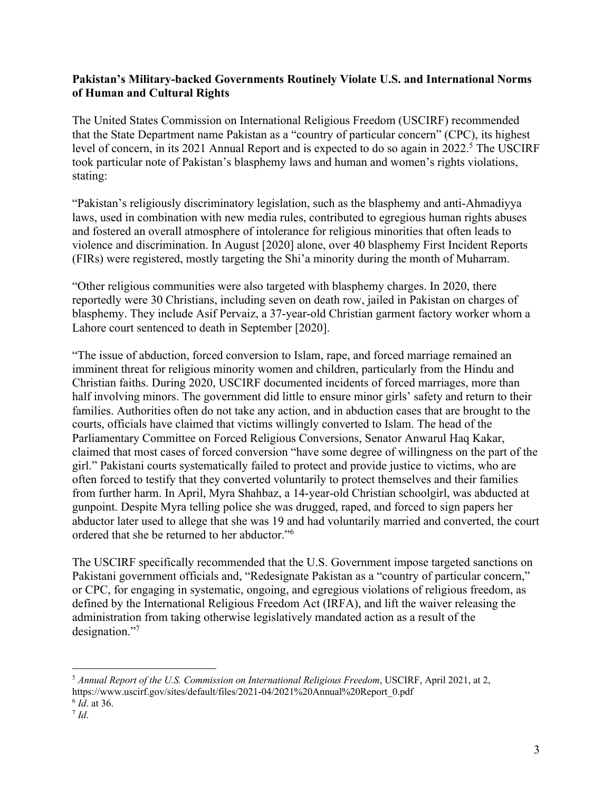### **Pakistan's Military-backed Governments Routinely Violate U.S. and International Norms of Human and Cultural Rights**

The United States Commission on International Religious Freedom (USCIRF) recommended that the State Department name Pakistan as a "country of particular concern" (CPC), its highest level of concern, in its 2021 Annual Report and is expected to do so again in 2022.<sup>5</sup> The USCIRF took particular note of Pakistan's blasphemy laws and human and women's rights violations, stating:

"Pakistan's religiously discriminatory legislation, such as the blasphemy and anti-Ahmadiyya laws, used in combination with new media rules, contributed to egregious human rights abuses and fostered an overall atmosphere of intolerance for religious minorities that often leads to violence and discrimination. In August [2020] alone, over 40 blasphemy First Incident Reports (FIRs) were registered, mostly targeting the Shi'a minority during the month of Muharram.

"Other religious communities were also targeted with blasphemy charges. In 2020, there reportedly were 30 Christians, including seven on death row, jailed in Pakistan on charges of blasphemy. They include Asif Pervaiz, a 37-year-old Christian garment factory worker whom a Lahore court sentenced to death in September [2020].

"The issue of abduction, forced conversion to Islam, rape, and forced marriage remained an imminent threat for religious minority women and children, particularly from the Hindu and Christian faiths. During 2020, USCIRF documented incidents of forced marriages, more than half involving minors. The government did little to ensure minor girls' safety and return to their families. Authorities often do not take any action, and in abduction cases that are brought to the courts, officials have claimed that victims willingly converted to Islam. The head of the Parliamentary Committee on Forced Religious Conversions, Senator Anwarul Haq Kakar, claimed that most cases of forced conversion "have some degree of willingness on the part of the girl." Pakistani courts systematically failed to protect and provide justice to victims, who are often forced to testify that they converted voluntarily to protect themselves and their families from further harm. In April, Myra Shahbaz, a 14-year-old Christian schoolgirl, was abducted at gunpoint. Despite Myra telling police she was drugged, raped, and forced to sign papers her abductor later used to allege that she was 19 and had voluntarily married and converted, the court ordered that she be returned to her abductor."6

The USCIRF specifically recommended that the U.S. Government impose targeted sanctions on Pakistani government officials and, "Redesignate Pakistan as a "country of particular concern," or CPC, for engaging in systematic, ongoing, and egregious violations of religious freedom, as defined by the International Religious Freedom Act (IRFA), and lift the waiver releasing the administration from taking otherwise legislatively mandated action as a result of the designation."<sup>7</sup>

<sup>5</sup> *Annual Report of the U.S. Commission on International Religious Freedom*, USCIRF, April 2021, at 2, https://www.uscirf.gov/sites/default/files/2021-04/2021%20Annual%20Report\_0.pdf

<sup>6</sup> *Id*. at 36.

 $^7$  *Id.*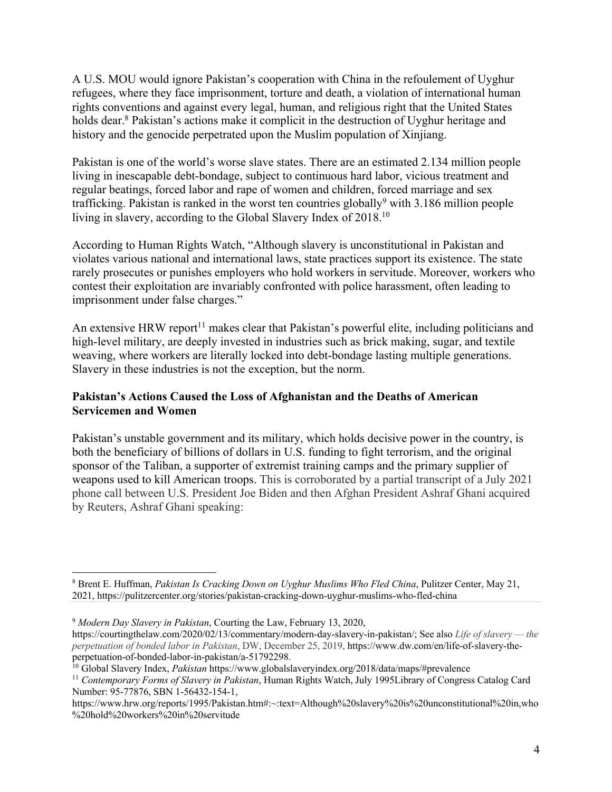A U.S. MOU would ignore Pakistan's cooperation with China in the refoulement of Uyghur refugees, where they face imprisonment, torture and death, a violation of international human rights conventions and against every legal, human, and religious right that the United States holds dear.<sup>8</sup> Pakistan's actions make it complicit in the destruction of Uyghur heritage and history and the genocide perpetrated upon the Muslim population of Xinjiang.

Pakistan is one of the world's worse slave states. There are an estimated 2.134 million people living in inescapable debt-bondage, subject to continuous hard labor, vicious treatment and regular beatings, forced labor and rape of women and children, forced marriage and sex trafficking. Pakistan is ranked in the worst ten countries globally<sup>9</sup> with 3.186 million people living in slavery, according to the Global Slavery Index of 2018.<sup>10</sup>

According to Human Rights Watch, "Although slavery is unconstitutional in Pakistan and violates various national and international laws, state practices support its existence. The state rarely prosecutes or punishes employers who hold workers in servitude. Moreover, workers who contest their exploitation are invariably confronted with police harassment, often leading to imprisonment under false charges."

An extensive HRW report<sup>11</sup> makes clear that Pakistan's powerful elite, including politicians and high-level military, are deeply invested in industries such as brick making, sugar, and textile weaving, where workers are literally locked into debt-bondage lasting multiple generations. Slavery in these industries is not the exception, but the norm.

# **Pakistan's Actions Caused the Loss of Afghanistan and the Deaths of American Servicemen and Women**

Pakistan's unstable government and its military, which holds decisive power in the country, is both the beneficiary of billions of dollars in U.S. funding to fight terrorism, and the original sponsor of the Taliban, a supporter of extremist training camps and the primary supplier of weapons used to kill American troops. This is corroborated by a partial transcript of a July 2021 phone call between U.S. President Joe Biden and then Afghan President Ashraf Ghani acquired by Reuters, Ashraf Ghani speaking:

<sup>8</sup> Brent E. Huffman, *Pakistan Is Cracking Down on Uyghur Muslims Who Fled China*, Pulitzer Center, May 21, 2021, https://pulitzercenter.org/stories/pakistan-cracking-down-uyghur-muslims-who-fled-china

<sup>9</sup> *Modern Day Slavery in Pakistan*, Courting the Law, February 13, 2020,

https://courtingthelaw.com/2020/02/13/commentary/modern-day-slavery-in-pakistan/; See also *Life of slavery — the perpetuation of bonded labor in Pakistan*, DW, December 25, 2019, https://www.dw.com/en/life-of-slavery-theperpetuation-of-bonded-labor-in-pakistan/a-51792298.

<sup>10</sup> Global Slavery Index, *Pakistan* https://www.globalslaveryindex.org/2018/data/maps/#prevalence

<sup>11</sup> *Contemporary Forms of Slavery in Pakistan*, Human Rights Watch, July 1995Library of Congress Catalog Card Number: 95-77876, SBN 1-56432-154-1,

https://www.hrw.org/reports/1995/Pakistan.htm#:~:text=Although%20slavery%20is%20unconstitutional%20in,who %20hold%20workers%20in%20servitude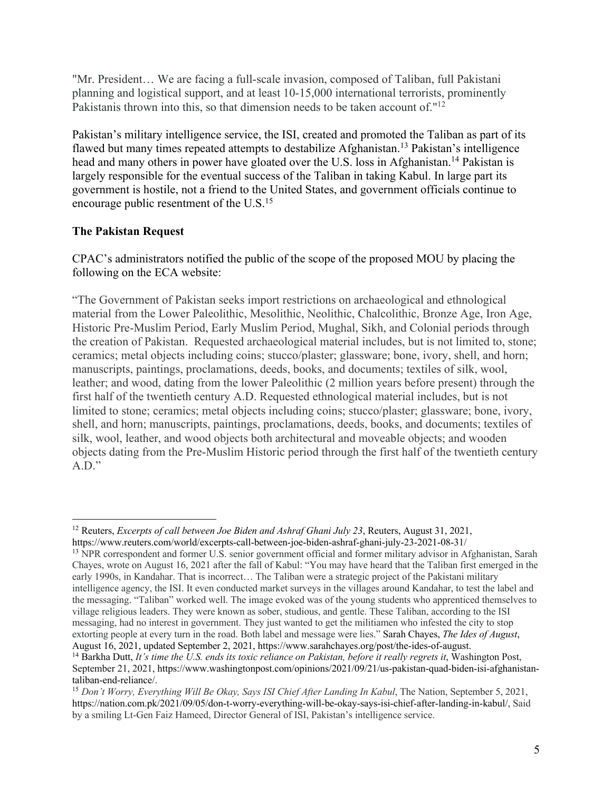"Mr. President… We are facing a full-scale invasion, composed of Taliban, full Pakistani planning and logistical support, and at least 10-15,000 international terrorists, prominently Pakistanis thrown into this, so that dimension needs to be taken account of."<sup>12</sup>

Pakistan's military intelligence service, the ISI, created and promoted the Taliban as part of its flawed but many times repeated attempts to destabilize Afghanistan.<sup>13</sup> Pakistan's intelligence head and many others in power have gloated over the U.S. loss in Afghanistan.<sup>14</sup> Pakistan is largely responsible for the eventual success of the Taliban in taking Kabul. In large part its government is hostile, not a friend to the United States, and government officials continue to encourage public resentment of the U.S.<sup>15</sup>

# **The Pakistan Request**

CPAC's administrators notified the public of the scope of the proposed MOU by placing the following on the ECA website:

"The Government of Pakistan seeks import restrictions on archaeological and ethnological material from the Lower Paleolithic, Mesolithic, Neolithic, Chalcolithic, Bronze Age, Iron Age, Historic Pre-Muslim Period, Early Muslim Period, Mughal, Sikh, and Colonial periods through the creation of Pakistan. Requested archaeological material includes, but is not limited to, stone; ceramics; metal objects including coins; stucco/plaster; glassware; bone, ivory, shell, and horn; manuscripts, paintings, proclamations, deeds, books, and documents; textiles of silk, wool, leather; and wood, dating from the lower Paleolithic (2 million years before present) through the first half of the twentieth century A.D. Requested ethnological material includes, but is not limited to stone; ceramics; metal objects including coins; stucco/plaster; glassware; bone, ivory, shell, and horn; manuscripts, paintings, proclamations, deeds, books, and documents; textiles of silk, wool, leather, and wood objects both architectural and moveable objects; and wooden objects dating from the Pre-Muslim Historic period through the first half of the twentieth century  $A.D.$ "

<sup>12</sup> Reuters, *Excerpts of call between Joe Biden and Ashraf Ghani July 23*, Reuters, August 31, 2021,

https://www.reuters.com/world/excerpts-call-between-joe-biden-ashraf-ghani-july-23-2021-08-31/

<sup>&</sup>lt;sup>13</sup> NPR correspondent and former U.S. senior government official and former military advisor in Afghanistan, Sarah Chayes, wrote on August 16, 2021 after the fall of Kabul: "You may have heard that the Taliban first emerged in the early 1990s, in Kandahar. That is incorrect… The Taliban were a strategic project of the Pakistani military intelligence agency, the ISI. It even conducted market surveys in the villages around Kandahar, to test the label and the messaging. "Taliban" worked well. The image evoked was of the young students who apprenticed themselves to village religious leaders. They were known as sober, studious, and gentle. These Taliban, according to the ISI messaging, had no interest in government. They just wanted to get the militiamen who infested the city to stop extorting people at every turn in the road. Both label and message were lies." Sarah Chayes, *The Ides of August*, August 16, 2021, updated September 2, 2021, https://www.sarahchayes.org/post/the-ides-of-august.

<sup>&</sup>lt;sup>14</sup> Barkha Dutt, *It's time the U.S. ends its toxic reliance on Pakistan, before it really regrets it, Washington Post,* September 21, 2021, https://www.washingtonpost.com/opinions/2021/09/21/us-pakistan-quad-biden-isi-afghanistantaliban-end-reliance/. 15 *Don't Worry, Everything Will Be Okay, Says ISI Chief After Landing In Kabul*, The Nation, September 5, 2021,

https://nation.com.pk/2021/09/05/don-t-worry-everything-will-be-okay-says-isi-chief-after-landing-in-kabul/, Said by a smiling Lt-Gen Faiz Hameed, Director General of ISI, Pakistan's intelligence service.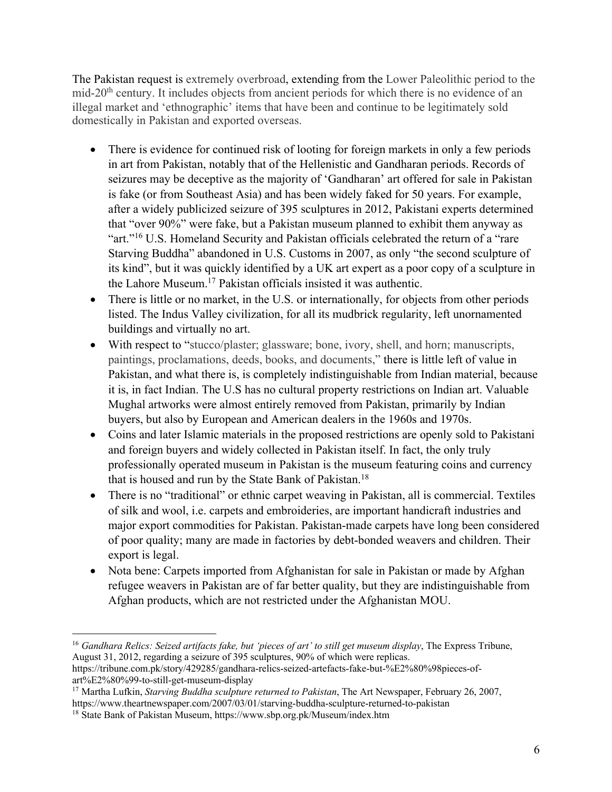The Pakistan request is extremely overbroad, extending from the Lower Paleolithic period to the mid-20th century. It includes objects from ancient periods for which there is no evidence of an illegal market and 'ethnographic' items that have been and continue to be legitimately sold domestically in Pakistan and exported overseas.

- There is evidence for continued risk of looting for foreign markets in only a few periods in art from Pakistan, notably that of the Hellenistic and Gandharan periods. Records of seizures may be deceptive as the majority of 'Gandharan' art offered for sale in Pakistan is fake (or from Southeast Asia) and has been widely faked for 50 years. For example, after a widely publicized seizure of 395 sculptures in 2012, Pakistani experts determined that "over 90%" were fake, but a Pakistan museum planned to exhibit them anyway as "art."<sup>16</sup> U.S. Homeland Security and Pakistan officials celebrated the return of a "rare" Starving Buddha" abandoned in U.S. Customs in 2007, as only "the second sculpture of its kind", but it was quickly identified by a UK art expert as a poor copy of a sculpture in the Lahore Museum.17 Pakistan officials insisted it was authentic.
- There is little or no market, in the U.S. or internationally, for objects from other periods listed. The Indus Valley civilization, for all its mudbrick regularity, left unornamented buildings and virtually no art.
- With respect to "stucco/plaster; glassware; bone, ivory, shell, and horn; manuscripts, paintings, proclamations, deeds, books, and documents," there is little left of value in Pakistan, and what there is, is completely indistinguishable from Indian material, because it is, in fact Indian. The U.S has no cultural property restrictions on Indian art. Valuable Mughal artworks were almost entirely removed from Pakistan, primarily by Indian buyers, but also by European and American dealers in the 1960s and 1970s.
- Coins and later Islamic materials in the proposed restrictions are openly sold to Pakistani and foreign buyers and widely collected in Pakistan itself. In fact, the only truly professionally operated museum in Pakistan is the museum featuring coins and currency that is housed and run by the State Bank of Pakistan.18
- There is no "traditional" or ethnic carpet weaving in Pakistan, all is commercial. Textiles of silk and wool, i.e. carpets and embroideries, are important handicraft industries and major export commodities for Pakistan. Pakistan-made carpets have long been considered of poor quality; many are made in factories by debt-bonded weavers and children. Their export is legal.
- Nota bene: Carpets imported from Afghanistan for sale in Pakistan or made by Afghan refugee weavers in Pakistan are of far better quality, but they are indistinguishable from Afghan products, which are not restricted under the Afghanistan MOU.

<sup>16</sup> *Gandhara Relics: Seized artifacts fake, but 'pieces of art' to still get museum display*, The Express Tribune, August 31, 2012, regarding a seizure of 395 sculptures, 90% of which were replicas. https://tribune.com.pk/story/429285/gandhara-relics-seized-artefacts-fake-but-%E2%80%98pieces-of-

art%E2%80%99-to-still-get-museum-display

<sup>17</sup> Martha Lufkin, *Starving Buddha sculpture returned to Pakistan*, The Art Newspaper, February 26, 2007, https://www.theartnewspaper.com/2007/03/01/starving-buddha-sculpture-returned-to-pakistan

<sup>18</sup> State Bank of Pakistan Museum, https://www.sbp.org.pk/Museum/index.htm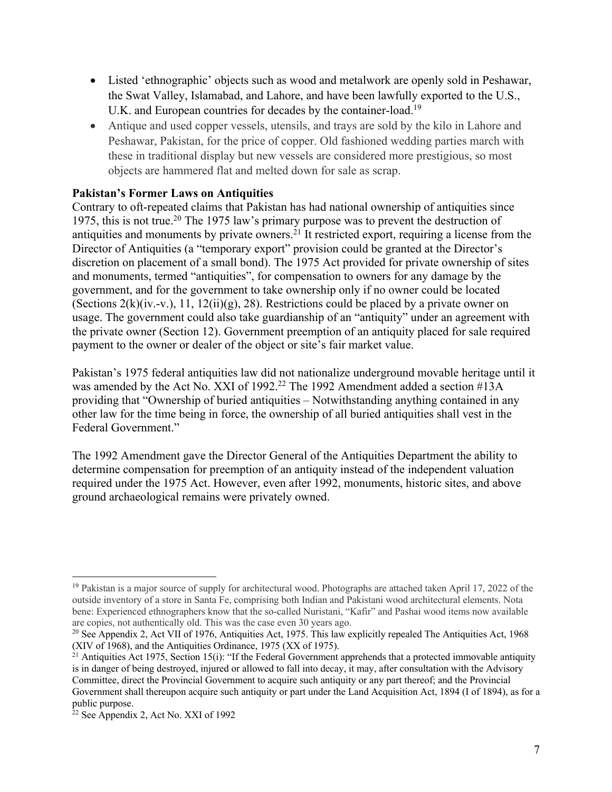- Listed 'ethnographic' objects such as wood and metalwork are openly sold in Peshawar, the Swat Valley, Islamabad, and Lahore, and have been lawfully exported to the U.S., U.K. and European countries for decades by the container-load.<sup>19</sup>
- Antique and used copper vessels, utensils, and trays are sold by the kilo in Lahore and Peshawar, Pakistan, for the price of copper. Old fashioned wedding parties march with these in traditional display but new vessels are considered more prestigious, so most objects are hammered flat and melted down for sale as scrap.

# **Pakistan's Former Laws on Antiquities**

Contrary to oft-repeated claims that Pakistan has had national ownership of antiquities since 1975, this is not true.<sup>20</sup> The 1975 law's primary purpose was to prevent the destruction of antiquities and monuments by private owners.<sup>21</sup> It restricted export, requiring a license from the Director of Antiquities (a "temporary export" provision could be granted at the Director's discretion on placement of a small bond). The 1975 Act provided for private ownership of sites and monuments, termed "antiquities", for compensation to owners for any damage by the government, and for the government to take ownership only if no owner could be located (Sections 2(k)(iv.-v.), 11, 12(ii)(g), 28). Restrictions could be placed by a private owner on usage. The government could also take guardianship of an "antiquity" under an agreement with the private owner (Section 12). Government preemption of an antiquity placed for sale required payment to the owner or dealer of the object or site's fair market value.

Pakistan's 1975 federal antiquities law did not nationalize underground movable heritage until it was amended by the Act No. XXI of 1992. <sup>22</sup> The 1992 Amendment added a section #13A providing that "Ownership of buried antiquities – Notwithstanding anything contained in any other law for the time being in force, the ownership of all buried antiquities shall vest in the Federal Government."

The 1992 Amendment gave the Director General of the Antiquities Department the ability to determine compensation for preemption of an antiquity instead of the independent valuation required under the 1975 Act. However, even after 1992, monuments, historic sites, and above ground archaeological remains were privately owned.

<sup>&</sup>lt;sup>19</sup> Pakistan is a major source of supply for architectural wood. Photographs are attached taken April 17, 2022 of the outside inventory of a store in Santa Fe, comprising both Indian and Pakistani wood architectural elements. Nota bene: Experienced ethnographers know that the so-called Nuristani, "Kafir" and Pashai wood items now available are copies, not authentically old. This was the case even 30 years ago.

<sup>&</sup>lt;sup>20</sup> See Appendix 2, Act VII of 1976, Antiquities Act, 1975. This law explicitly repealed The Antiquities Act, 1968 (XIV of 1968), and the Antiquities Ordinance, 1975 (XX of 1975).

 $21$  Antiquities Act 1975, Section 15(i): "If the Federal Government apprehends that a protected immovable antiquity is in danger of being destroyed, injured or allowed to fall into decay, it may, after consultation with the Advisory Committee, direct the Provincial Government to acquire such antiquity or any part thereof; and the Provincial Government shall thereupon acquire such antiquity or part under the Land Acquisition Act, 1894 (I of 1894), as for a public purpose.

 $22$  See Appendix 2, Act No. XXI of 1992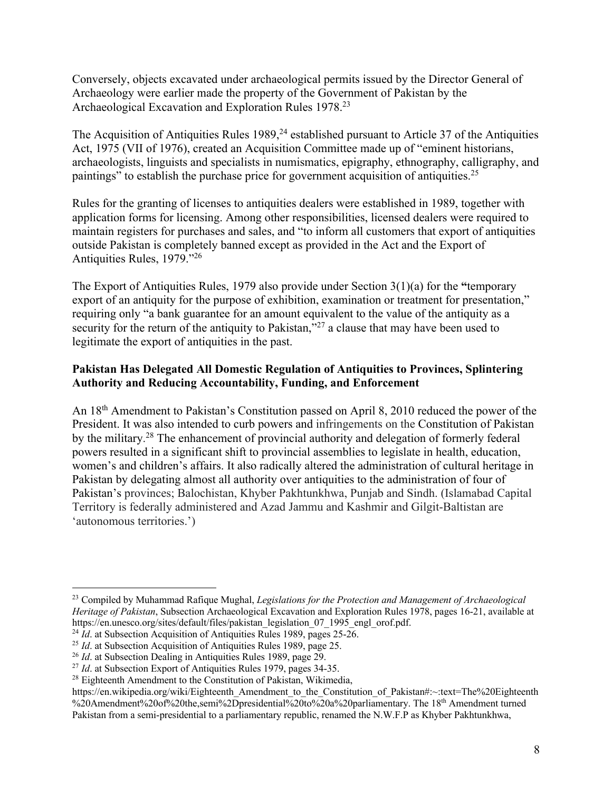Conversely, objects excavated under archaeological permits issued by the Director General of Archaeology were earlier made the property of the Government of Pakistan by the Archaeological Excavation and Exploration Rules 1978.23

The Acquisition of Antiquities Rules 1989,<sup>24</sup> established pursuant to Article 37 of the Antiquities Act, 1975 (VII of 1976), created an Acquisition Committee made up of "eminent historians, archaeologists, linguists and specialists in numismatics, epigraphy, ethnography, calligraphy, and paintings" to establish the purchase price for government acquisition of antiquities.25

Rules for the granting of licenses to antiquities dealers were established in 1989, together with application forms for licensing. Among other responsibilities, licensed dealers were required to maintain registers for purchases and sales, and "to inform all customers that export of antiquities outside Pakistan is completely banned except as provided in the Act and the Export of Antiquities Rules, 1979."26

The Export of Antiquities Rules, 1979 also provide under Section 3(1)(a) for the **"**temporary export of an antiquity for the purpose of exhibition, examination or treatment for presentation," requiring only "a bank guarantee for an amount equivalent to the value of the antiquity as a security for the return of the antiquity to Pakistan,"<sup>27</sup> a clause that may have been used to legitimate the export of antiquities in the past.

# **Pakistan Has Delegated All Domestic Regulation of Antiquities to Provinces, Splintering Authority and Reducing Accountability, Funding, and Enforcement**

An 18th Amendment to Pakistan's Constitution passed on April 8, 2010 reduced the power of the President. It was also intended to curb powers and infringements on the Constitution of Pakistan by the military.<sup>28</sup> The enhancement of provincial authority and delegation of formerly federal powers resulted in a significant shift to provincial assemblies to legislate in health, education, women's and children's affairs. It also radically altered the administration of cultural heritage in Pakistan by delegating almost all authority over antiquities to the administration of four of Pakistan's provinces; Balochistan, Khyber Pakhtunkhwa, Punjab and Sindh. (Islamabad Capital Territory is federally administered and Azad Jammu and Kashmir and Gilgit-Baltistan are 'autonomous territories.')

<sup>23</sup> Compiled by Muhammad Rafique Mughal, *Legislations for the Protection and Management of Archaeological Heritage of Pakistan*, Subsection Archaeological Excavation and Exploration Rules 1978, pages 16-21, available at https://en.unesco.org/sites/default/files/pakistan\_legislation\_07\_1995\_engl\_orof.pdf.

<sup>&</sup>lt;sup>24</sup> *Id.* at Subsection Acquisition of Antiquities Rules 1989, pages 25-26.

<sup>&</sup>lt;sup>25</sup> *Id.* at Subsection Acquisition of Antiquities Rules 1989, page 25.

<sup>26</sup> *Id*. at Subsection Dealing in Antiquities Rules 1989, page 29.

<sup>&</sup>lt;sup>27</sup> *Id.* at Subsection Export of Antiquities Rules 1979, pages 34-35.

 $28$  Eighteenth Amendment to the Constitution of Pakistan, Wikimedia,

https://en.wikipedia.org/wiki/Eighteenth\_Amendment\_to\_the\_Constitution\_of\_Pakistan#:~:text=The%20Eighteenth %20Amendment%20of%20the,semi%2Dpresidential%20to%20a%20parliamentary. The 18th Amendment turned Pakistan from a semi-presidential to a parliamentary republic, renamed the N.W.F.P as Khyber Pakhtunkhwa,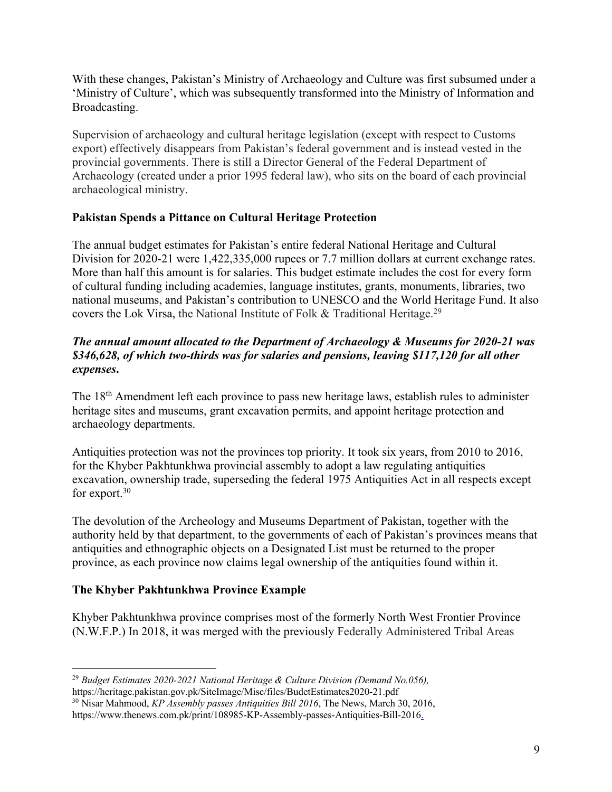With these changes, Pakistan's Ministry of Archaeology and Culture was first subsumed under a 'Ministry of Culture', which was subsequently transformed into the Ministry of Information and Broadcasting.

Supervision of archaeology and cultural heritage legislation (except with respect to Customs export) effectively disappears from Pakistan's federal government and is instead vested in the provincial governments. There is still a Director General of the Federal Department of Archaeology (created under a prior 1995 federal law), who sits on the board of each provincial archaeological ministry.

# **Pakistan Spends a Pittance on Cultural Heritage Protection**

The annual budget estimates for Pakistan's entire federal National Heritage and Cultural Division for 2020-21 were 1,422,335,000 rupees or 7.7 million dollars at current exchange rates. More than half this amount is for salaries. This budget estimate includes the cost for every form of cultural funding including academies, language institutes, grants, monuments, libraries, two national museums, and Pakistan's contribution to UNESCO and the World Heritage Fund. It also covers the Lok Virsa, the National Institute of Folk & Traditional Heritage.29

# *The annual amount allocated to the Department of Archaeology & Museums for 2020-21 was \$346,628, of which two-thirds was for salaries and pensions, leaving \$117,120 for all other expenses***.**

The 18<sup>th</sup> Amendment left each province to pass new heritage laws, establish rules to administer heritage sites and museums, grant excavation permits, and appoint heritage protection and archaeology departments.

Antiquities protection was not the provinces top priority. It took six years, from 2010 to 2016, for the Khyber Pakhtunkhwa provincial assembly to adopt a law regulating antiquities excavation, ownership trade, superseding the federal 1975 Antiquities Act in all respects except for export.30

The devolution of the Archeology and Museums Department of Pakistan, together with the authority held by that department, to the governments of each of Pakistan's provinces means that antiquities and ethnographic objects on a Designated List must be returned to the proper province, as each province now claims legal ownership of the antiquities found within it.

# **The Khyber Pakhtunkhwa Province Example**

Khyber Pakhtunkhwa province comprises most of the formerly North West Frontier Province (N.W.F.P.) In 2018, it was merged with the previously Federally Administered Tribal Areas

<sup>29</sup> *Budget Estimates 2020-2021 National Heritage & Culture Division (Demand No.056),*

https://heritage.pakistan.gov.pk/SiteImage/Misc/files/BudetEstimates2020-21.pdf

<sup>30</sup> Nisar Mahmood, *KP Assembly passes Antiquities Bill 2016*, The News, March 30, 2016,

https://www.thenews.com.pk/print/108985-KP-Assembly-passes-Antiquities-Bill-2016.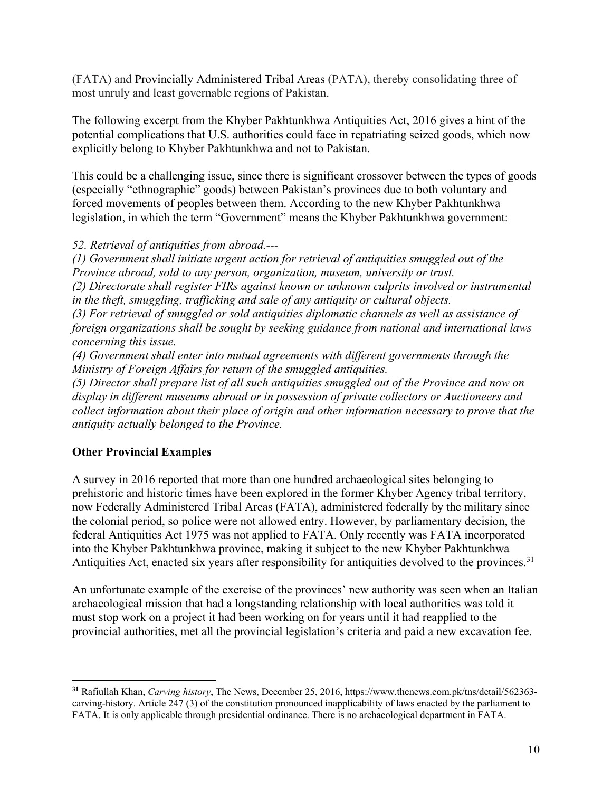(FATA) and Provincially Administered Tribal Areas (PATA), thereby consolidating three of most unruly and least governable regions of Pakistan.

The following excerpt from the Khyber Pakhtunkhwa Antiquities Act, 2016 gives a hint of the potential complications that U.S. authorities could face in repatriating seized goods, which now explicitly belong to Khyber Pakhtunkhwa and not to Pakistan.

This could be a challenging issue, since there is significant crossover between the types of goods (especially "ethnographic" goods) between Pakistan's provinces due to both voluntary and forced movements of peoples between them. According to the new Khyber Pakhtunkhwa legislation, in which the term "Government" means the Khyber Pakhtunkhwa government:

### *52. Retrieval of antiquities from abroad.---*

*(1) Government shall initiate urgent action for retrieval of antiquities smuggled out of the Province abroad, sold to any person, organization, museum, university or trust.*

*(2) Directorate shall register FIRs against known or unknown culprits involved or instrumental in the theft, smuggling, trafficking and sale of any antiquity or cultural objects.* 

*(3) For retrieval of smuggled or sold antiquities diplomatic channels as well as assistance of foreign organizations shall be sought by seeking guidance from national and international laws concerning this issue.*

*(4) Government shall enter into mutual agreements with different governments through the Ministry of Foreign Affairs for return of the smuggled antiquities.*

*(5) Director shall prepare list of all such antiquities smuggled out of the Province and now on display in different museums abroad or in possession of private collectors or Auctioneers and collect information about their place of origin and other information necessary to prove that the antiquity actually belonged to the Province.* 

# **Other Provincial Examples**

A survey in 2016 reported that more than one hundred archaeological sites belonging to prehistoric and historic times have been explored in the former Khyber Agency tribal territory, now Federally Administered Tribal Areas (FATA), administered federally by the military since the colonial period, so police were not allowed entry. However, by parliamentary decision, the federal Antiquities Act 1975 was not applied to FATA. Only recently was FATA incorporated into the Khyber Pakhtunkhwa province, making it subject to the new Khyber Pakhtunkhwa Antiquities Act, enacted six years after responsibility for antiquities devolved to the provinces.<sup>31</sup>

An unfortunate example of the exercise of the provinces' new authority was seen when an Italian archaeological mission that had a longstanding relationship with local authorities was told it must stop work on a project it had been working on for years until it had reapplied to the provincial authorities, met all the provincial legislation's criteria and paid a new excavation fee.

**<sup>31</sup>** Rafiullah Khan, *Carving history*, The News, December 25, 2016, https://www.thenews.com.pk/tns/detail/562363 carving-history. Article 247 (3) of the constitution pronounced inapplicability of laws enacted by the parliament to FATA. It is only applicable through presidential ordinance. There is no archaeological department in FATA.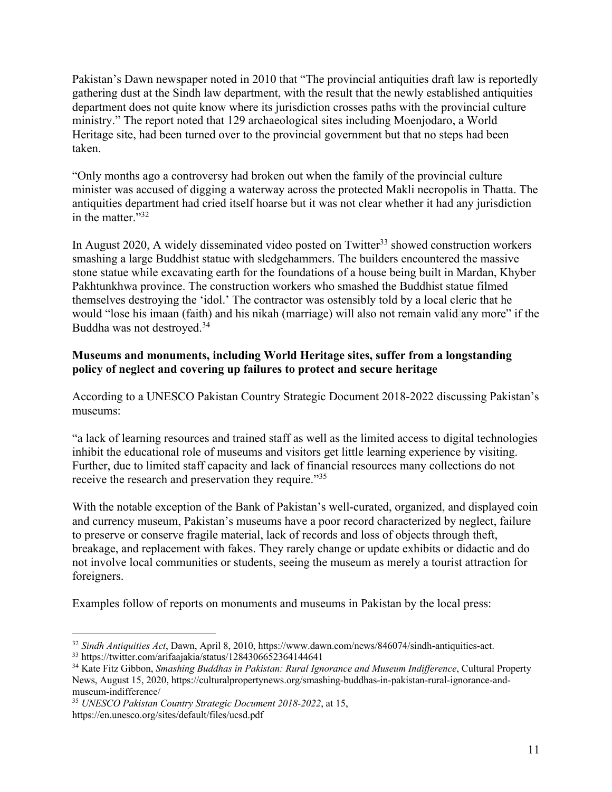Pakistan's Dawn newspaper noted in 2010 that "The provincial antiquities draft law is reportedly gathering dust at the Sindh law department, with the result that the newly established antiquities department does not quite know where its jurisdiction crosses paths with the provincial culture ministry." The report noted that 129 archaeological sites including Moenjodaro, a World Heritage site, had been turned over to the provincial government but that no steps had been taken.

"Only months ago a controversy had broken out when the family of the provincial culture minister was accused of digging a waterway across the protected Makli necropolis in Thatta. The antiquities department had cried itself hoarse but it was not clear whether it had any jurisdiction in the matter."32

In August 2020, A widely disseminated video posted on Twitter<sup>33</sup> showed construction workers smashing a large Buddhist statue with sledgehammers. The builders encountered the massive stone statue while excavating earth for the foundations of a house being built in Mardan, Khyber Pakhtunkhwa province. The construction workers who smashed the Buddhist statue filmed themselves destroying the 'idol.' The contractor was ostensibly told by a local cleric that he would "lose his imaan (faith) and his nikah (marriage) will also not remain valid any more" if the Buddha was not destroyed.34

# **Museums and monuments, including World Heritage sites, suffer from a longstanding policy of neglect and covering up failures to protect and secure heritage**

According to a UNESCO Pakistan Country Strategic Document 2018-2022 discussing Pakistan's museums:

"a lack of learning resources and trained staff as well as the limited access to digital technologies inhibit the educational role of museums and visitors get little learning experience by visiting. Further, due to limited staff capacity and lack of financial resources many collections do not receive the research and preservation they require."35

With the notable exception of the Bank of Pakistan's well-curated, organized, and displayed coin and currency museum, Pakistan's museums have a poor record characterized by neglect, failure to preserve or conserve fragile material, lack of records and loss of objects through theft, breakage, and replacement with fakes. They rarely change or update exhibits or didactic and do not involve local communities or students, seeing the museum as merely a tourist attraction for foreigners.

Examples follow of reports on monuments and museums in Pakistan by the local press:

<sup>32</sup> *Sindh Antiquities Act*, Dawn, April 8, 2010, https://www.dawn.com/news/846074/sindh-antiquities-act.

<sup>33</sup> https://twitter.com/arifaajakia/status/1284306652364144641

<sup>34</sup> Kate Fitz Gibbon, *Smashing Buddhas in Pakistan: Rural Ignorance and Museum Indifference*, Cultural Property News, August 15, 2020, https://culturalpropertynews.org/smashing-buddhas-in-pakistan-rural-ignorance-andmuseum-indifference/

<sup>35</sup> *UNESCO Pakistan Country Strategic Document 2018-2022*, at 15, https://en.unesco.org/sites/default/files/ucsd.pdf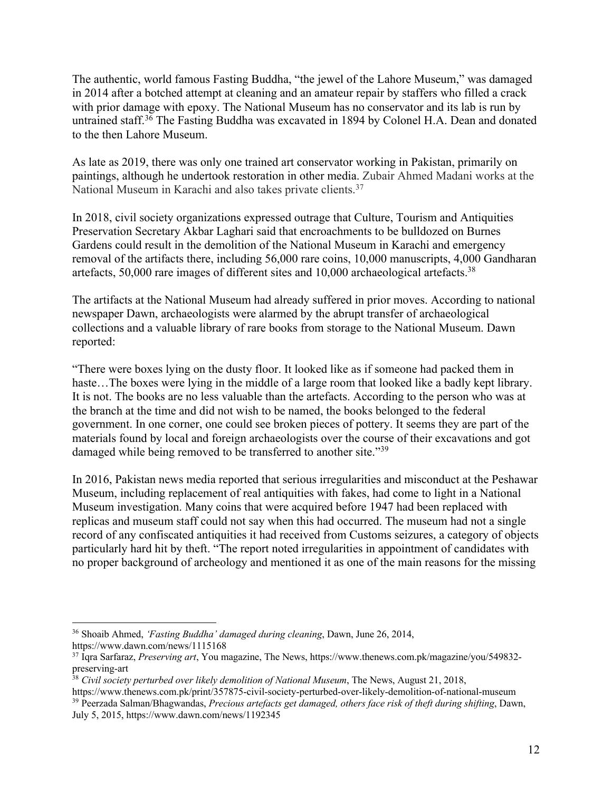The authentic, world famous Fasting Buddha, "the jewel of the Lahore Museum," was damaged in 2014 after a botched attempt at cleaning and an amateur repair by staffers who filled a crack with prior damage with epoxy. The National Museum has no conservator and its lab is run by untrained staff.<sup>36</sup> The Fasting Buddha was excavated in 1894 by Colonel H.A. Dean and donated to the then Lahore Museum.

As late as 2019, there was only one trained art conservator working in Pakistan, primarily on paintings, although he undertook restoration in other media. Zubair Ahmed Madani works at the National Museum in Karachi and also takes private clients.37

In 2018, civil society organizations expressed outrage that Culture, Tourism and Antiquities Preservation Secretary Akbar Laghari said that encroachments to be bulldozed on Burnes Gardens could result in the demolition of the National Museum in Karachi and emergency removal of the artifacts there, including 56,000 rare coins, 10,000 manuscripts, 4,000 Gandharan artefacts, 50,000 rare images of different sites and 10,000 archaeological artefacts.38

The artifacts at the National Museum had already suffered in prior moves. According to national newspaper Dawn, archaeologists were alarmed by the abrupt transfer of archaeological collections and a valuable library of rare books from storage to the National Museum. Dawn reported:

"There were boxes lying on the dusty floor. It looked like as if someone had packed them in haste...The boxes were lying in the middle of a large room that looked like a badly kept library. It is not. The books are no less valuable than the artefacts. According to the person who was at the branch at the time and did not wish to be named, the books belonged to the federal government. In one corner, one could see broken pieces of pottery. It seems they are part of the materials found by local and foreign archaeologists over the course of their excavations and got damaged while being removed to be transferred to another site."39

In 2016, Pakistan news media reported that serious irregularities and misconduct at the Peshawar Museum, including replacement of real antiquities with fakes, had come to light in a National Museum investigation. Many coins that were acquired before 1947 had been replaced with replicas and museum staff could not say when this had occurred. The museum had not a single record of any confiscated antiquities it had received from Customs seizures, a category of objects particularly hard hit by theft. "The report noted irregularities in appointment of candidates with no proper background of archeology and mentioned it as one of the main reasons for the missing

<sup>36</sup> Shoaib Ahmed, *'Fasting Buddha' damaged during cleaning*, Dawn, June 26, 2014, https://www.dawn.com/news/1115168

<sup>37</sup> Iqra Sarfaraz, *Preserving art*, You magazine, The News, https://www.thenews.com.pk/magazine/you/549832 preserving-art

<sup>38</sup> *Civil society perturbed over likely demolition of National Museum*, The News, August 21, 2018,

https://www.thenews.com.pk/print/357875-civil-society-perturbed-over-likely-demolition-of-national-museum <sup>39</sup> Peerzada Salman/Bhagwandas, *Precious artefacts get damaged, others face risk of theft during shifting*, Dawn, July 5, 2015, https://www.dawn.com/news/1192345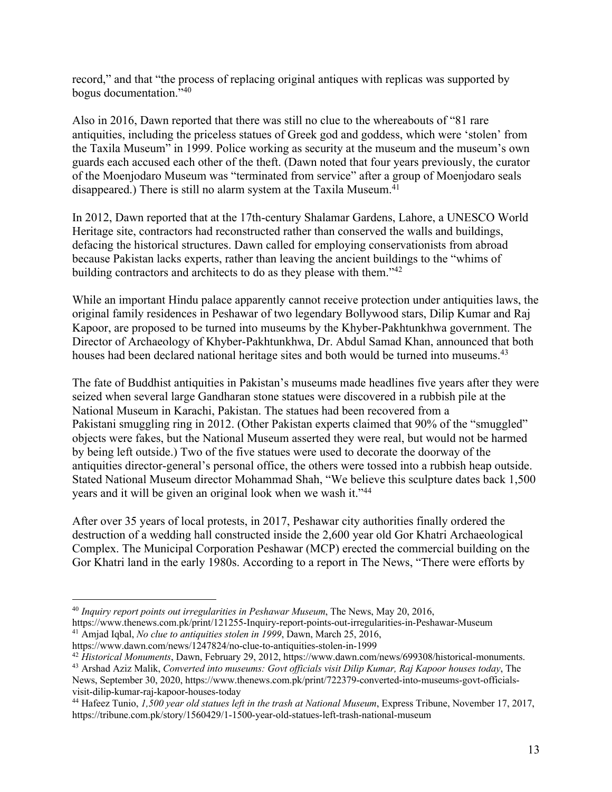record," and that "the process of replacing original antiques with replicas was supported by bogus documentation."40

Also in 2016, Dawn reported that there was still no clue to the whereabouts of "81 rare antiquities, including the priceless statues of Greek god and goddess, which were 'stolen' from the Taxila Museum" in 1999. Police working as security at the museum and the museum's own guards each accused each other of the theft. (Dawn noted that four years previously, the curator of the Moenjodaro Museum was "terminated from service" after a group of Moenjodaro seals disappeared.) There is still no alarm system at the Taxila Museum.<sup>41</sup>

In 2012, Dawn reported that at the 17th-century Shalamar Gardens, Lahore, a UNESCO World Heritage site, contractors had reconstructed rather than conserved the walls and buildings, defacing the historical structures. Dawn called for employing conservationists from abroad because Pakistan lacks experts, rather than leaving the ancient buildings to the "whims of building contractors and architects to do as they please with them."<sup>42</sup>

While an important Hindu palace apparently cannot receive protection under antiquities laws, the original family residences in Peshawar of two legendary Bollywood stars, Dilip Kumar and Raj Kapoor, are proposed to be turned into museums by the Khyber-Pakhtunkhwa government. The Director of Archaeology of Khyber-Pakhtunkhwa, Dr. Abdul Samad Khan, announced that both houses had been declared national heritage sites and both would be turned into museums.<sup>43</sup>

The fate of Buddhist antiquities in Pakistan's museums made headlines five years after they were seized when several large Gandharan stone statues were discovered in a rubbish pile at the National Museum in Karachi, Pakistan. The statues had been recovered from a Pakistani smuggling ring in 2012. (Other Pakistan experts claimed that 90% of the "smuggled" objects were fakes, but the National Museum asserted they were real, but would not be harmed by being left outside.) Two of the five statues were used to decorate the doorway of the antiquities director-general's personal office, the others were tossed into a rubbish heap outside. Stated National Museum director Mohammad Shah, "We believe this sculpture dates back 1,500 years and it will be given an original look when we wash it."44

After over 35 years of local protests, in 2017, Peshawar city authorities finally ordered the destruction of a wedding hall constructed inside the 2,600 year old Gor Khatri Archaeological Complex. The Municipal Corporation Peshawar (MCP) erected the commercial building on the Gor Khatri land in the early 1980s. According to a report in The News, "There were efforts by

<sup>40</sup> *Inquiry report points out irregularities in Peshawar Museum*, The News, May 20, 2016,

https://www.thenews.com.pk/print/121255-Inquiry-report-points-out-irregularities-in-Peshawar-Museum <sup>41</sup> Amjad Iqbal, *No clue to antiquities stolen in 1999*, Dawn, March 25, 2016,

https://www.dawn.com/news/1247824/no-clue-to-antiquities-stolen-in-1999

<sup>42</sup> *Historical Monuments*, Dawn, February 29, 2012, https://www.dawn.com/news/699308/historical-monuments.

<sup>43</sup> Arshad Aziz Malik, *Converted into museums: Govt officials visit Dilip Kumar, Raj Kapoor houses today*, The News, September 30, 2020, https://www.thenews.com.pk/print/722379-converted-into-museums-govt-officialsvisit-dilip-kumar-raj-kapoor-houses-today

<sup>44</sup> Hafeez Tunio, *1,500 year old statues left in the trash at National Museum*, Express Tribune, November 17, 2017, https://tribune.com.pk/story/1560429/1-1500-year-old-statues-left-trash-national-museum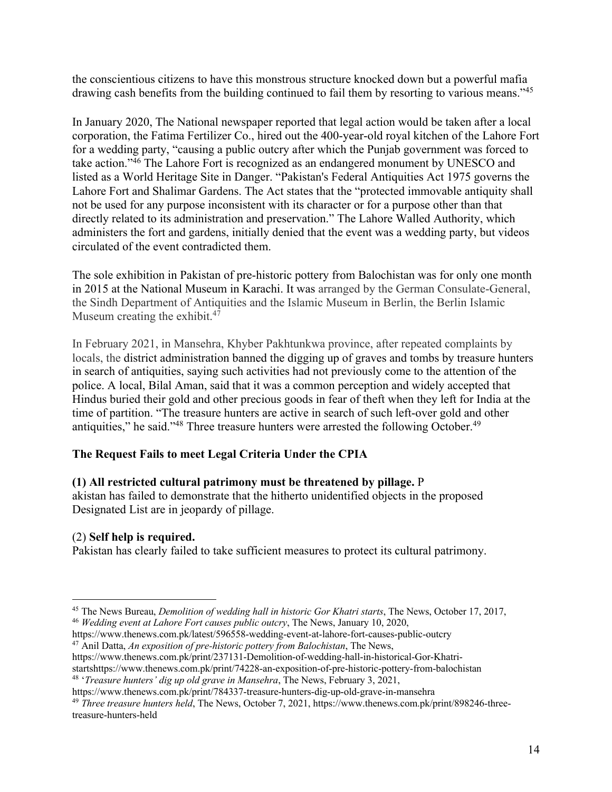the conscientious citizens to have this monstrous structure knocked down but a powerful mafia drawing cash benefits from the building continued to fail them by resorting to various means."<sup>45</sup>

In January 2020, The National newspaper reported that legal action would be taken after a local corporation, the Fatima Fertilizer Co., hired out the 400-year-old royal kitchen of the Lahore Fort for a wedding party, "causing a public outcry after which the Punjab government was forced to take action."46 The Lahore Fort is recognized as an endangered monument by UNESCO and listed as a World Heritage Site in Danger. "Pakistan's Federal Antiquities Act 1975 governs the Lahore Fort and Shalimar Gardens. The Act states that the "protected immovable antiquity shall not be used for any purpose inconsistent with its character or for a purpose other than that directly related to its administration and preservation." The Lahore Walled Authority, which administers the fort and gardens, initially denied that the event was a wedding party, but videos circulated of the event contradicted them.

The sole exhibition in Pakistan of pre-historic pottery from Balochistan was for only one month in 2015 at the National Museum in Karachi. It was arranged by the German Consulate-General, the Sindh Department of Antiquities and the Islamic Museum in Berlin, the Berlin Islamic Museum creating the exhibit.<sup>47</sup>

In February 2021, in Mansehra, Khyber Pakhtunkwa province, after repeated complaints by locals, the district administration banned the digging up of graves and tombs by treasure hunters in search of antiquities, saying such activities had not previously come to the attention of the police. A local, Bilal Aman, said that it was a common perception and widely accepted that Hindus buried their gold and other precious goods in fear of theft when they left for India at the time of partition. "The treasure hunters are active in search of such left-over gold and other antiquities," he said."<sup>48</sup> Three treasure hunters were arrested the following October.<sup>49</sup>

# **The Request Fails to meet Legal Criteria Under the CPIA**

# **(1) All restricted cultural patrimony must be threatened by pillage.** P

akistan has failed to demonstrate that the hitherto unidentified objects in the proposed Designated List are in jeopardy of pillage.

# (2) **Self help is required.**

Pakistan has clearly failed to take sufficient measures to protect its cultural patrimony.

https://www.thenews.com.pk/latest/596558-wedding-event-at-lahore-fort-causes-public-outcry <sup>47</sup> Anil Datta, *An exposition of pre-historic pottery from Balochistan*, The News,

<sup>&</sup>lt;sup>45</sup> The News Bureau, *Demolition of wedding hall in historic Gor Khatri starts*, The News, October 17, 2017, <sup>46</sup> *Wedding event at Lahore Fort causes public outcry*, The News, January 10, 2020,

https://www.thenews.com.pk/print/237131-Demolition-of-wedding-hall-in-historical-Gor-Khatristartshttps://www.thenews.com.pk/print/74228-an-exposition-of-pre-historic-pottery-from-balochistan <sup>48</sup> '*Treasure hunters' dig up old grave in Mansehra*, The News, February 3, 2021,

https://www.thenews.com.pk/print/784337-treasure-hunters-dig-up-old-grave-in-mansehra

<sup>49</sup> *Three treasure hunters held*, The News, October 7, 2021, https://www.thenews.com.pk/print/898246-threetreasure-hunters-held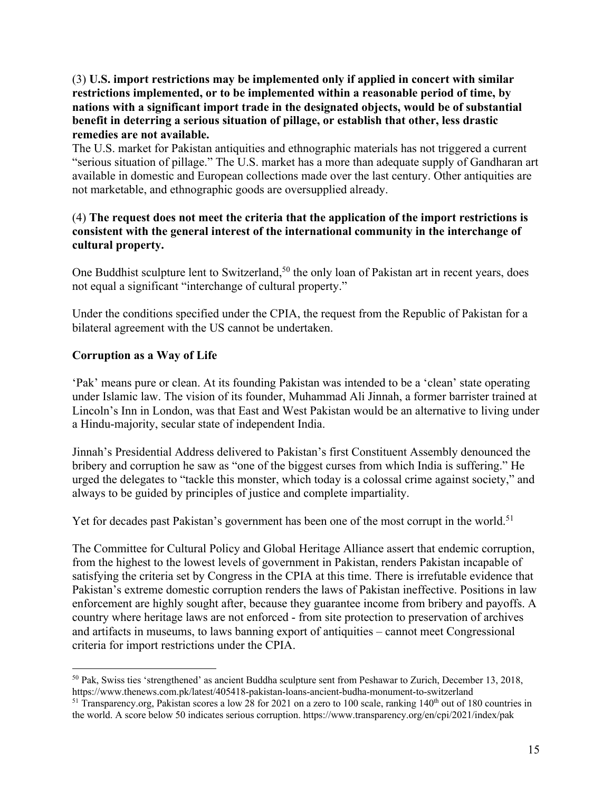## (3) **U.S. import restrictions may be implemented only if applied in concert with similar restrictions implemented, or to be implemented within a reasonable period of time, by nations with a significant import trade in the designated objects, would be of substantial benefit in deterring a serious situation of pillage, or establish that other, less drastic remedies are not available.**

The U.S. market for Pakistan antiquities and ethnographic materials has not triggered a current "serious situation of pillage." The U.S. market has a more than adequate supply of Gandharan art available in domestic and European collections made over the last century. Other antiquities are not marketable, and ethnographic goods are oversupplied already.

# (4) **The request does not meet the criteria that the application of the import restrictions is consistent with the general interest of the international community in the interchange of cultural property.**

One Buddhist sculpture lent to Switzerland,<sup>50</sup> the only loan of Pakistan art in recent years, does not equal a significant "interchange of cultural property."

Under the conditions specified under the CPIA, the request from the Republic of Pakistan for a bilateral agreement with the US cannot be undertaken.

# **Corruption as a Way of Life**

'Pak' means pure or clean. At its founding Pakistan was intended to be a 'clean' state operating under Islamic law. The vision of its founder, Muhammad Ali Jinnah, a former barrister trained at Lincoln's Inn in London, was that East and West Pakistan would be an alternative to living under a Hindu-majority, secular state of independent India.

Jinnah's Presidential Address delivered to Pakistan's first Constituent Assembly denounced the bribery and corruption he saw as "one of the biggest curses from which India is suffering." He urged the delegates to "tackle this monster, which today is a colossal crime against society," and always to be guided by principles of justice and complete impartiality.

Yet for decades past Pakistan's government has been one of the most corrupt in the world.<sup>51</sup>

The Committee for Cultural Policy and Global Heritage Alliance assert that endemic corruption, from the highest to the lowest levels of government in Pakistan, renders Pakistan incapable of satisfying the criteria set by Congress in the CPIA at this time. There is irrefutable evidence that Pakistan's extreme domestic corruption renders the laws of Pakistan ineffective. Positions in law enforcement are highly sought after, because they guarantee income from bribery and payoffs. A country where heritage laws are not enforced - from site protection to preservation of archives and artifacts in museums, to laws banning export of antiquities – cannot meet Congressional criteria for import restrictions under the CPIA.

<sup>50</sup> Pak, Swiss ties 'strengthened' as ancient Buddha sculpture sent from Peshawar to Zurich, December 13, 2018, https://www.thenews.com.pk/latest/405418-pakistan-loans-ancient-budha-monument-to-switzerland

 $51$  Transparency.org, Pakistan scores a low 28 for 2021 on a zero to 100 scale, ranking  $140<sup>th</sup>$  out of 180 countries in the world. A score below 50 indicates serious corruption. https://www.transparency.org/en/cpi/2021/index/pak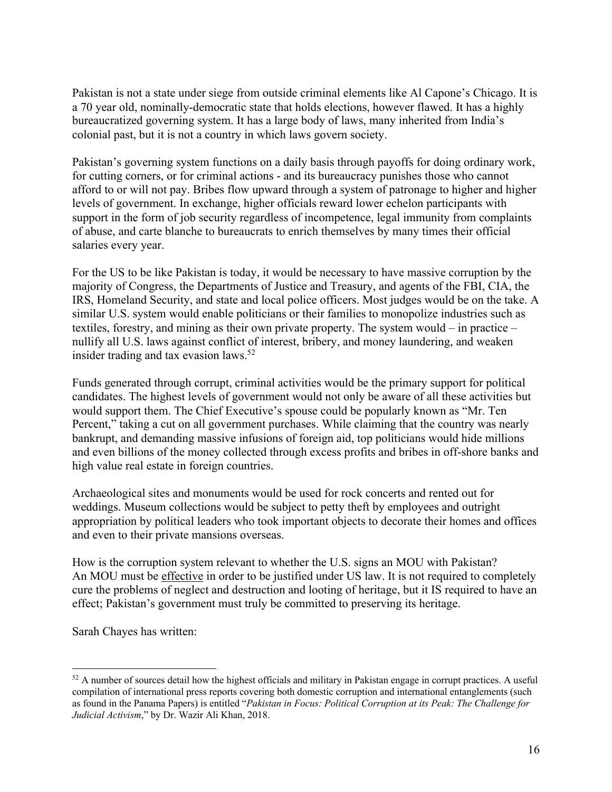Pakistan is not a state under siege from outside criminal elements like Al Capone's Chicago. It is a 70 year old, nominally-democratic state that holds elections, however flawed. It has a highly bureaucratized governing system. It has a large body of laws, many inherited from India's colonial past, but it is not a country in which laws govern society.

Pakistan's governing system functions on a daily basis through payoffs for doing ordinary work, for cutting corners, or for criminal actions - and its bureaucracy punishes those who cannot afford to or will not pay. Bribes flow upward through a system of patronage to higher and higher levels of government. In exchange, higher officials reward lower echelon participants with support in the form of job security regardless of incompetence, legal immunity from complaints of abuse, and carte blanche to bureaucrats to enrich themselves by many times their official salaries every year.

For the US to be like Pakistan is today, it would be necessary to have massive corruption by the majority of Congress, the Departments of Justice and Treasury, and agents of the FBI, CIA, the IRS, Homeland Security, and state and local police officers. Most judges would be on the take. A similar U.S. system would enable politicians or their families to monopolize industries such as textiles, forestry, and mining as their own private property. The system would – in practice – nullify all U.S. laws against conflict of interest, bribery, and money laundering, and weaken insider trading and tax evasion laws.<sup>52</sup>

Funds generated through corrupt, criminal activities would be the primary support for political candidates. The highest levels of government would not only be aware of all these activities but would support them. The Chief Executive's spouse could be popularly known as "Mr. Ten Percent," taking a cut on all government purchases. While claiming that the country was nearly bankrupt, and demanding massive infusions of foreign aid, top politicians would hide millions and even billions of the money collected through excess profits and bribes in off-shore banks and high value real estate in foreign countries.

Archaeological sites and monuments would be used for rock concerts and rented out for weddings. Museum collections would be subject to petty theft by employees and outright appropriation by political leaders who took important objects to decorate their homes and offices and even to their private mansions overseas.

How is the corruption system relevant to whether the U.S. signs an MOU with Pakistan? An MOU must be effective in order to be justified under US law. It is not required to completely cure the problems of neglect and destruction and looting of heritage, but it IS required to have an effect; Pakistan's government must truly be committed to preserving its heritage.

Sarah Chayes has written:

 $52$  A number of sources detail how the highest officials and military in Pakistan engage in corrupt practices. A useful compilation of international press reports covering both domestic corruption and international entanglements (such as found in the Panama Papers) is entitled "*Pakistan in Focus: Political Corruption at its Peak: The Challenge for Judicial Activism*," by Dr. Wazir Ali Khan, 2018.